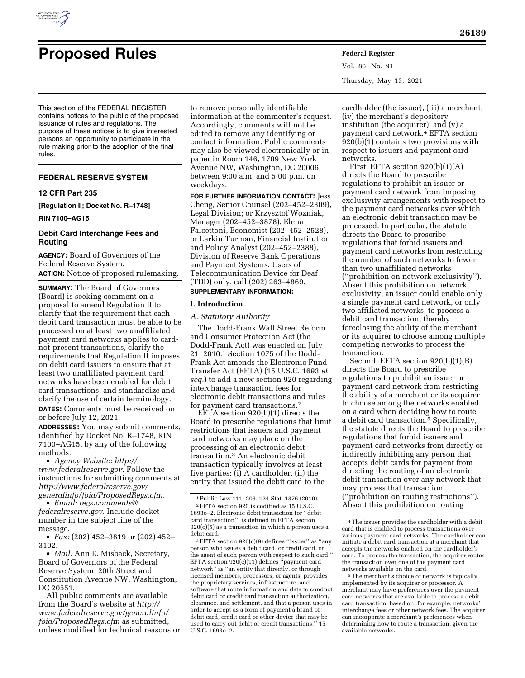

# **Proposed Rules Federal Register**

Vol. 86, No. 91 Thursday, May 13, 2021

This section of the FEDERAL REGISTER contains notices to the public of the proposed issuance of rules and regulations. The purpose of these notices is to give interested persons an opportunity to participate in the rule making prior to the adoption of the final rules.

# **FEDERAL RESERVE SYSTEM**

#### **12 CFR Part 235**

**[Regulation II; Docket No. R–1748]** 

**RIN 7100–AG15** 

# **Debit Card Interchange Fees and Routing**

**AGENCY:** Board of Governors of the Federal Reserve System. **ACTION:** Notice of proposed rulemaking.

**SUMMARY:** The Board of Governors (Board) is seeking comment on a proposal to amend Regulation II to clarify that the requirement that each debit card transaction must be able to be processed on at least two unaffiliated payment card networks applies to cardnot-present transactions, clarify the requirements that Regulation II imposes on debit card issuers to ensure that at least two unaffiliated payment card networks have been enabled for debit card transactions, and standardize and clarify the use of certain terminology. **DATES:** Comments must be received on or before July 12, 2021.

**ADDRESSES:** You may submit comments, identified by Docket No. R–1748, RIN 7100–AG15, by any of the following methods:

• *Agency Website: [http://](http://www.federalreserve.gov) [www.federalreserve.gov.](http://www.federalreserve.gov)* Follow the instructions for submitting comments at *[http://www.federalreserve.gov/](http://www.federalreserve.gov/generalinfo/foia/ProposedRegs.cfm)  [generalinfo/foia/ProposedRegs.cfm.](http://www.federalreserve.gov/generalinfo/foia/ProposedRegs.cfm)* 

• *Email: [regs.comments@](mailto:regs.comments@federalreserve.gov) [federalreserve.gov.](mailto:regs.comments@federalreserve.gov)* Include docket number in the subject line of the message.

• *Fax:* (202) 452–3819 or (202) 452– 3102.

• *Mail:* Ann E. Misback, Secretary, Board of Governors of the Federal Reserve System, 20th Street and Constitution Avenue NW, Washington, DC 20551.

All public comments are available from the Board's website at *[http://](http://www.federalreserve.gov/generalinfo/foia/ProposedRegs.cfm) [www.federalreserve.gov/generalinfo/](http://www.federalreserve.gov/generalinfo/foia/ProposedRegs.cfm) [foia/ProposedRegs.cfm](http://www.federalreserve.gov/generalinfo/foia/ProposedRegs.cfm)* as submitted, unless modified for technical reasons or

to remove personally identifiable information at the commenter's request. Accordingly, comments will not be edited to remove any identifying or contact information. Public comments may also be viewed electronically or in paper in Room 146, 1709 New York Avenue NW, Washington, DC 20006, between 9:00 a.m. and 5:00 p.m. on weekdays.

**FOR FURTHER INFORMATION CONTACT:** Jess Cheng, Senior Counsel (202–452–2309), Legal Division; or Krzysztof Wozniak, Manager (202–452–3878), Elena Falcettoni, Economist (202–452–2528), or Larkin Turman, Financial Institution and Policy Analyst (202–452–2388), Division of Reserve Bank Operations and Payment Systems. Users of Telecommunication Device for Deaf (TDD) only, call (202) 263–4869.

# **SUPPLEMENTARY INFORMATION:**

# **I. Introduction**

*A. Statutory Authority* 

The Dodd-Frank Wall Street Reform and Consumer Protection Act (the Dodd-Frank Act) was enacted on July 21, 2010.1 Section 1075 of the Dodd-Frank Act amends the Electronic Fund Transfer Act (EFTA) (15 U.S.C. 1693 *et seq.*) to add a new section 920 regarding interchange transaction fees for electronic debit transactions and rules for payment card transactions.2

EFTA section 920(b)(1) directs the Board to prescribe regulations that limit restrictions that issuers and payment card networks may place on the processing of an electronic debit transaction.3 An electronic debit transaction typically involves at least five parties: (i) A cardholder, (ii) the entity that issued the debit card to the

cardholder (the issuer), (iii) a merchant, (iv) the merchant's depository institution (the acquirer), and (v) a payment card network.4 EFTA section 920(b)(1) contains two provisions with respect to issuers and payment card networks.

First, EFTA section 920(b)(1)(A) directs the Board to prescribe regulations to prohibit an issuer or payment card network from imposing exclusivity arrangements with respect to the payment card networks over which an electronic debit transaction may be processed. In particular, the statute directs the Board to prescribe regulations that forbid issuers and payment card networks from restricting the number of such networks to fewer than two unaffiliated networks (''prohibition on network exclusivity''). Absent this prohibition on network exclusivity, an issuer could enable only a single payment card network, or only two affiliated networks, to process a debit card transaction, thereby foreclosing the ability of the merchant or its acquirer to choose among multiple competing networks to process the transaction.

Second, EFTA section 920(b)(1)(B) directs the Board to prescribe regulations to prohibit an issuer or payment card network from restricting the ability of a merchant or its acquirer to choose among the networks enabled on a card when deciding how to route a debit card transaction.5 Specifically, the statute directs the Board to prescribe regulations that forbid issuers and payment card networks from directly or indirectly inhibiting any person that accepts debit cards for payment from directing the routing of an electronic debit transaction over any network that may process that transaction (''prohibition on routing restrictions''). Absent this prohibition on routing

<sup>1</sup>Public Law 111–203, 124 Stat. 1376 (2010). 2EFTA section 920 is codified as 15 U.S.C. 1693o–2. Electronic debit transaction (or ''debit card transaction'') is defined in EFTA section 920(c)(5) as a transaction in which a person uses a debit card.

<sup>3</sup>EFTA section 920(c)(9) defines ''issuer'' as ''any person who issues a debit card, or credit card, or the agent of such person with respect to such card.'' EFTA section 920(c)(11) defines ''payment card network" as "an entity that directly, or through licensed members, processors, or agents, provides the proprietary services, infrastructure, and software that route information and data to conduct debit card or credit card transaction authorization, clearance, and settlement, and that a person uses in order to accept as a form of payment a brand of debit card, credit card or other device that may be used to carry out debit or credit transactions.'' 15 U.S.C. 1693o–2.

<sup>4</sup>The issuer provides the cardholder with a debit card that is enabled to process transactions over various payment card networks. The cardholder can initiate a debit card transaction at a merchant that accepts the networks enabled on the cardholder's card. To process the transaction, the acquirer routes the transaction over one of the payment card networks available on the card.

<sup>5</sup>The merchant's choice of network is typically implemented by its acquirer or processor. A merchant may have preferences over the payment card networks that are available to process a debit card transaction, based on, for example, networks' interchange fees or other network fees. The acquirer can incorporate a merchant's preferences when determining how to route a transaction, given the available networks.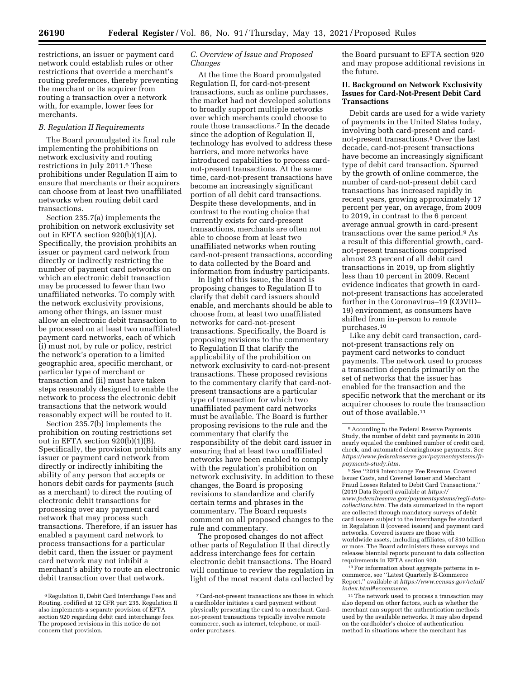restrictions, an issuer or payment card network could establish rules or other restrictions that override a merchant's routing preferences, thereby preventing the merchant or its acquirer from routing a transaction over a network with, for example, lower fees for merchants.

#### *B. Regulation II Requirements*

The Board promulgated its final rule implementing the prohibitions on network exclusivity and routing restrictions in July 2011.6 These prohibitions under Regulation II aim to ensure that merchants or their acquirers can choose from at least two unaffiliated networks when routing debit card transactions.

Section 235.7(a) implements the prohibition on network exclusivity set out in EFTA section 920(b)(1)(A). Specifically, the provision prohibits an issuer or payment card network from directly or indirectly restricting the number of payment card networks on which an electronic debit transaction may be processed to fewer than two unaffiliated networks. To comply with the network exclusivity provisions, among other things, an issuer must allow an electronic debit transaction to be processed on at least two unaffiliated payment card networks, each of which (i) must not, by rule or policy, restrict the network's operation to a limited geographic area, specific merchant, or particular type of merchant or transaction and (ii) must have taken steps reasonably designed to enable the network to process the electronic debit transactions that the network would reasonably expect will be routed to it.

Section 235.7(b) implements the prohibition on routing restrictions set out in EFTA section 920(b)(1)(B). Specifically, the provision prohibits any issuer or payment card network from directly or indirectly inhibiting the ability of any person that accepts or honors debit cards for payments (such as a merchant) to direct the routing of electronic debit transactions for processing over any payment card network that may process such transactions. Therefore, if an issuer has enabled a payment card network to process transactions for a particular debit card, then the issuer or payment card network may not inhibit a merchant's ability to route an electronic debit transaction over that network.

# *C. Overview of Issue and Proposed Changes*

At the time the Board promulgated Regulation II, for card-not-present transactions, such as online purchases, the market had not developed solutions to broadly support multiple networks over which merchants could choose to route those transactions.7 In the decade since the adoption of Regulation II, technology has evolved to address these barriers, and more networks have introduced capabilities to process cardnot-present transactions. At the same time, card-not-present transactions have become an increasingly significant portion of all debit card transactions. Despite these developments, and in contrast to the routing choice that currently exists for card-present transactions, merchants are often not able to choose from at least two unaffiliated networks when routing card-not-present transactions, according to data collected by the Board and information from industry participants.

In light of this issue, the Board is proposing changes to Regulation II to clarify that debit card issuers should enable, and merchants should be able to choose from, at least two unaffiliated networks for card-not-present transactions. Specifically, the Board is proposing revisions to the commentary to Regulation II that clarify the applicability of the prohibition on network exclusivity to card-not-present transactions. These proposed revisions to the commentary clarify that card-notpresent transactions are a particular type of transaction for which two unaffiliated payment card networks must be available. The Board is further proposing revisions to the rule and the commentary that clarify the responsibility of the debit card issuer in ensuring that at least two unaffiliated networks have been enabled to comply with the regulation's prohibition on network exclusivity. In addition to these changes, the Board is proposing revisions to standardize and clarify certain terms and phrases in the commentary. The Board requests comment on all proposed changes to the rule and commentary.

The proposed changes do not affect other parts of Regulation II that directly address interchange fees for certain electronic debit transactions. The Board will continue to review the regulation in light of the most recent data collected by the Board pursuant to EFTA section 920 and may propose additional revisions in the future.

# **II. Background on Network Exclusivity Issues for Card-Not-Present Debit Card Transactions**

Debit cards are used for a wide variety of payments in the United States today, involving both card-present and cardnot-present transactions.8 Over the last decade, card-not-present transactions have become an increasingly significant type of debit card transaction. Spurred by the growth of online commerce, the number of card-not-present debit card transactions has increased rapidly in recent years, growing approximately 17 percent per year, on average, from 2009 to 2019, in contrast to the 6 percent average annual growth in card-present transactions over the same period.9 As a result of this differential growth, cardnot-present transactions comprised almost 23 percent of all debit card transactions in 2019, up from slightly less than 10 percent in 2009. Recent evidence indicates that growth in cardnot-present transactions has accelerated further in the Coronavirus–19 (COVID– 19) environment, as consumers have shifted from in-person to remote purchases.10

Like any debit card transaction, cardnot-present transactions rely on payment card networks to conduct payments. The network used to process a transaction depends primarily on the set of networks that the issuer has enabled for the transaction and the specific network that the merchant or its acquirer chooses to route the transaction out of those available.11

10For information about aggregate patterns in ecommerce, see ''Latest Quarterly E-Commerce Report,'' available at *[https://www.census.gov/retail/](https://www.census.gov/retail/index.html#ecommerce) [index.html#ecommerce.](https://www.census.gov/retail/index.html#ecommerce)* 

<sup>11</sup> The network used to process a transaction may also depend on other factors, such as whether the merchant can support the authentication methods used by the available networks. It may also depend on the cardholder's choice of authentication method in situations where the merchant has

<sup>6</sup>Regulation II, Debit Card Interchange Fees and Routing, codified at 12 CFR part 235. Regulation II also implements a separate provision of EFTA section 920 regarding debit card interchange fees. The proposed revisions in this notice do not concern that provision.

<sup>7</sup>Card-not-present transactions are those in which a cardholder initiates a card payment without physically presenting the card to a merchant. Cardnot-present transactions typically involve remote commerce, such as internet, telephone, or mailorder purchases.

<sup>8</sup>According to the Federal Reserve Payments Study, the number of debit card payments in 2018 nearly equaled the combined number of credit card, check, and automated clearinghouse payments. See *[https://www.federalreserve.gov/paymentsystems/fr](https://www.federalreserve.gov/paymentsystems/fr-payments-study.htm)[payments-study.htm.](https://www.federalreserve.gov/paymentsystems/fr-payments-study.htm)* 

<sup>9</sup>See ''2019 Interchange Fee Revenue, Covered Issuer Costs, and Covered Issuer and Merchant Fraud Losses Related to Debit Card Transactions,'' (2019 Data Report) available at *[https://](https://www.federalreserve.gov/paymentsystems/regii-data-collections.htm) [www.federalreserve.gov/paymentsystems/regii-data](https://www.federalreserve.gov/paymentsystems/regii-data-collections.htm)[collections.htm.](https://www.federalreserve.gov/paymentsystems/regii-data-collections.htm)* The data summarized in the report are collected through mandatory surveys of debit card issuers subject to the interchange fee standard in Regulation II (covered issuers) and payment card networks. Covered issuers are those with worldwide assets, including affiliates, of \$10 billion or more. The Board administers these surveys and releases biennial reports pursuant to data collection requirements in EFTA section 920.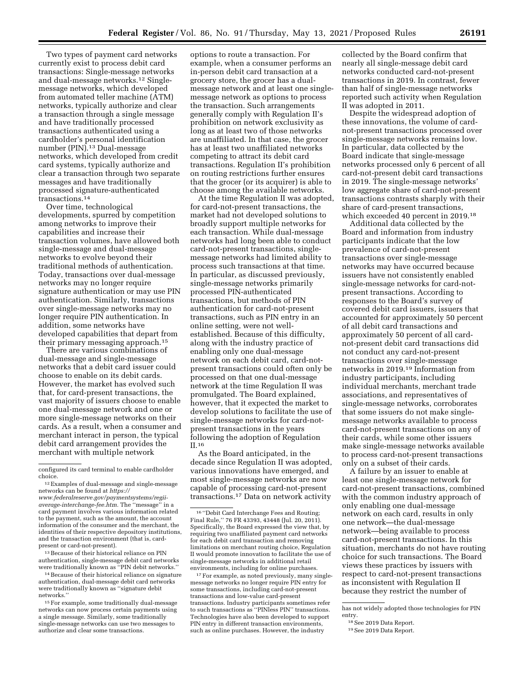Two types of payment card networks currently exist to process debit card transactions: Single-message networks and dual-message networks.12 Singlemessage networks, which developed from automated teller machine (ATM) networks, typically authorize and clear a transaction through a single message and have traditionally processed transactions authenticated using a cardholder's personal identification number (PIN).13 Dual-message networks, which developed from credit card systems, typically authorize and clear a transaction through two separate messages and have traditionally processed signature-authenticated transactions.14

Over time, technological developments, spurred by competition among networks to improve their capabilities and increase their transaction volumes, have allowed both single-message and dual-message networks to evolve beyond their traditional methods of authentication. Today, transactions over dual-message networks may no longer require signature authentication or may use PIN authentication. Similarly, transactions over single-message networks may no longer require PIN authentication. In addition, some networks have developed capabilities that depart from their primary messaging approach.15

There are various combinations of dual-message and single-message networks that a debit card issuer could choose to enable on its debit cards. However, the market has evolved such that, for card-present transactions, the vast majority of issuers choose to enable one dual-message network and one or more single-message networks on their cards. As a result, when a consumer and merchant interact in person, the typical debit card arrangement provides the merchant with multiple network

13Because of their historical reliance on PIN authentication, single-message debit card networks were traditionally known as "PIN debit networks."

<sup>14</sup> Because of their historical reliance on signature authentication, dual-message debit card networks were traditionally known as ''signature debit networks.''

15For example, some traditionally dual-message networks can now process certain payments using a single message. Similarly, some traditionally single-message networks can use two messages to authorize and clear some transactions.

options to route a transaction. For example, when a consumer performs an in-person debit card transaction at a grocery store, the grocer has a dualmessage network and at least one singlemessage network as options to process the transaction. Such arrangements generally comply with Regulation II's prohibition on network exclusivity as long as at least two of those networks are unaffiliated. In that case, the grocer has at least two unaffiliated networks competing to attract its debit card transactions. Regulation II's prohibition on routing restrictions further ensures that the grocer (or its acquirer) is able to choose among the available networks.

At the time Regulation II was adopted, for card-not-present transactions, the market had not developed solutions to broadly support multiple networks for each transaction. While dual-message networks had long been able to conduct card-not-present transactions, singlemessage networks had limited ability to process such transactions at that time. In particular, as discussed previously, single-message networks primarily processed PIN-authenticated transactions, but methods of PIN authentication for card-not-present transactions, such as PIN entry in an online setting, were not wellestablished. Because of this difficulty, along with the industry practice of enabling only one dual-message network on each debit card, card-notpresent transactions could often only be processed on that one dual-message network at the time Regulation II was promulgated. The Board explained, however, that it expected the market to develop solutions to facilitate the use of single-message networks for card-notpresent transactions in the years following the adoption of Regulation II.16

As the Board anticipated, in the decade since Regulation II was adopted, various innovations have emerged, and most single-message networks are now capable of processing card-not-present transactions.17 Data on network activity

<sup>17</sup> For example, as noted previously, many singlemessage networks no longer require PIN entry for some transactions, including card-not-present transactions and low-value card-present transactions. Industry participants sometimes refer to such transactions as ''PINless PIN'' transactions. Technologies have also been developed to support PIN entry in different transaction environments, such as online purchases. However, the industry

collected by the Board confirm that nearly all single-message debit card networks conducted card-not-present transactions in 2019. In contrast, fewer than half of single-message networks reported such activity when Regulation II was adopted in 2011.

Despite the widespread adoption of these innovations, the volume of cardnot-present transactions processed over single-message networks remains low. In particular, data collected by the Board indicate that single-message networks processed only 6 percent of all card-not-present debit card transactions in 2019. The single-message networks' low aggregate share of card-not-present transactions contrasts sharply with their share of card-present transactions, which exceeded 40 percent in 2019.18

Additional data collected by the Board and information from industry participants indicate that the low prevalence of card-not-present transactions over single-message networks may have occurred because issuers have not consistently enabled single-message networks for card-notpresent transactions. According to responses to the Board's survey of covered debit card issuers, issuers that accounted for approximately 50 percent of all debit card transactions and approximately 50 percent of all cardnot-present debit card transactions did not conduct any card-not-present transactions over single-message networks in 2019.19 Information from industry participants, including individual merchants, merchant trade associations, and representatives of single-message networks, corroborates that some issuers do not make singlemessage networks available to process card-not-present transactions on any of their cards, while some other issuers make single-message networks available to process card-not-present transactions only on a subset of their cards.

A failure by an issuer to enable at least one single-message network for card-not-present transactions, combined with the common industry approach of only enabling one dual-message network on each card, results in only one network—the dual-message network—being available to process card-not-present transactions. In this situation, merchants do not have routing choice for such transactions. The Board views these practices by issuers with respect to card-not-present transactions as inconsistent with Regulation II because they restrict the number of

configured its card terminal to enable cardholder choice.

<sup>12</sup>Examples of dual-message and single-message networks can be found at *[https://](https://www.federalreserve.gov/paymentsystems/regii-average-interchange-fee.htm) [www.federalreserve.gov/paymentsystems/regii-](https://www.federalreserve.gov/paymentsystems/regii-average-interchange-fee.htm)*

*[average-interchange-fee.htm.](https://www.federalreserve.gov/paymentsystems/regii-average-interchange-fee.htm)* The ''message'' in a card payment involves various information related to the payment, such as the amount, the account information of the consumer and the merchant, the identities of their respective depository institutions, and the transaction environment (that is, cardpresent or card-not-present).

<sup>16</sup> ''Debit Card Interchange Fees and Routing; Final Rule,'' 76 FR 43393, 43448 (Jul. 20, 2011). Specifically, the Board expressed the view that, by requiring two unaffiliated payment card networks for each debit card transaction and removing limitations on merchant routing choice, Regulation II would promote innovation to facilitate the use of single-message networks in additional retail environments, including for online purchases.

has not widely adopted those technologies for PIN entry.

<sup>18</sup>See 2019 Data Report.

<sup>19</sup>See 2019 Data Report.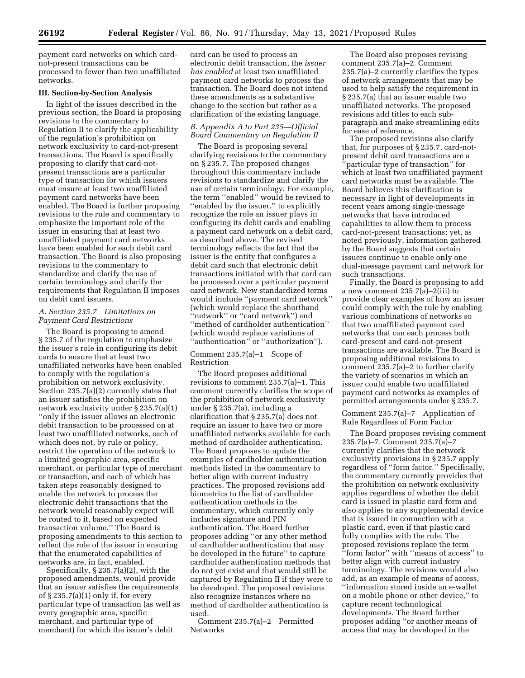payment card networks on which cardnot-present transactions can be processed to fewer than two unaffiliated networks.

#### **III. Section-by-Section Analysis**

In light of the issues described in the previous section, the Board is proposing revisions to the commentary to Regulation II to clarify the applicability of the regulation's prohibition on network exclusivity to card-not-present transactions. The Board is specifically proposing to clarify that card-notpresent transactions are a particular type of transaction for which issuers must ensure at least two unaffiliated payment card networks have been enabled. The Board is further proposing revisions to the rule and commentary to emphasize the important role of the issuer in ensuring that at least two unaffiliated payment card networks have been enabled for each debit card transaction. The Board is also proposing revisions to the commentary to standardize and clarify the use of certain terminology and clarify the requirements that Regulation II imposes on debit card issuers.

# *A. Section 235.7 Limitations on Payment Card Restrictions*

The Board is proposing to amend § 235.7 of the regulation to emphasize the issuer's role in configuring its debit cards to ensure that at least two unaffiliated networks have been enabled to comply with the regulation's prohibition on network exclusivity. Section 235.7(a)(2) currently states that an issuer satisfies the prohibition on network exclusivity under § 235.7(a)(1) ''only if the issuer allows an electronic debit transaction to be processed on at least two unaffiliated networks, each of which does not, by rule or policy, restrict the operation of the network to a limited geographic area, specific merchant, or particular type of merchant or transaction, and each of which has taken steps reasonably designed to enable the network to process the electronic debit transactions that the network would reasonably expect will be routed to it, based on expected transaction volume.'' The Board is proposing amendments to this section to reflect the role of the issuer in ensuring that the enumerated capabilities of networks are, in fact, enabled.

Specifically, § 235.7(a)(2), with the proposed amendments, would provide that an issuer satisfies the requirements of § 235.7(a)(1) only if, for every particular type of transaction (as well as every geographic area, specific merchant, and particular type of merchant) for which the issuer's debit

card can be used to process an electronic debit transaction, the *issuer has enabled* at least two unaffiliated payment card networks to process the transaction. The Board does not intend these amendments as a substantive change to the section but rather as a clarification of the existing language.

# *B. Appendix A to Part 235—Official Board Commentary on Regulation II*

The Board is proposing several clarifying revisions to the commentary on § 235.7. The proposed changes throughout this commentary include revisions to standardize and clarify the use of certain terminology. For example, the term ''enabled'' would be revised to ''enabled by the issuer,'' to explicitly recognize the role an issuer plays in configuring its debit cards and enabling a payment card network on a debit card, as described above. The revised terminology reflects the fact that the issuer is the entity that configures a debit card such that electronic debit transactions initiated with that card can be processed over a particular payment card network. New standardized terms would include ''payment card network'' (which would replace the shorthand ''network'' or ''card network'') and ''method of cardholder authentication'' (which would replace variations of ''authentication'' or ''authorization'').

# Comment 235.7(a)–1 Scope of Restriction

The Board proposes additional revisions to comment 235.7(a)–1. This comment currently clarifies the scope of the prohibition of network exclusivity under § 235.7(a), including a clarification that § 235.7(a) does not require an issuer to have two or more unaffiliated networks available for each method of cardholder authentication. The Board proposes to update the examples of cardholder authentication methods listed in the commentary to better align with current industry practices. The proposed revisions add biometrics to the list of cardholder authentication methods in the commentary, which currently only includes signature and PIN authentication. The Board further proposes adding ''or any other method of cardholder authentication that may be developed in the future'' to capture cardholder authentication methods that do not yet exist and that would still be captured by Regulation II if they were to be developed. The proposed revisions also recognize instances where no method of cardholder authentication is used.

Comment 235.7(a)–2 Permitted Networks

The Board also proposes revising comment 235.7(a)–2. Comment 235.7(a)–2 currently clarifies the types of network arrangements that may be used to help satisfy the requirement in § 235.7(a) that an issuer enable two unaffiliated networks. The proposed revisions add titles to each subparagraph and make streamlining edits for ease of reference.

The proposed revisions also clarify that, for purposes of § 235.7, card-notpresent debit card transactions are a ''particular type of transaction'' for which at least two unaffiliated payment card networks must be available. The Board believes this clarification is necessary in light of developments in recent years among single-message networks that have introduced capabilities to allow them to process card-not-present transactions; yet, as noted previously, information gathered by the Board suggests that certain issuers continue to enable only one dual-message payment card network for such transactions.

Finally, the Board is proposing to add a new comment 235.7(a)–2(iii) to provide clear examples of how an issuer could comply with the rule by enabling various combinations of networks so that two unaffiliated payment card networks that can each process both card-present and card-not-present transactions are available. The Board is proposing additional revisions to comment 235.7(a)–2 to further clarify the variety of scenarios in which an issuer could enable two unaffiliated payment card networks as examples of permitted arrangements under § 235.7.

Comment 235.7(a)–7 Application of Rule Regardless of Form Factor

The Board proposes revising comment 235.7(a)–7. Comment 235.7(a)–7 currently clarifies that the network exclusivity provisions in § 235.7 apply regardless of ''form factor.'' Specifically, the commentary currently provides that the prohibition on network exclusivity applies regardless of whether the debit card is issued in plastic card form and also applies to any supplemental device that is issued in connection with a plastic card, even if that plastic card fully complies with the rule. The proposed revisions replace the term ''form factor'' with ''means of access'' to better align with current industry terminology. The revisions would also add, as an example of means of access, ''information stored inside an e-wallet on a mobile phone or other device,'' to capture recent technological developments. The Board further proposes adding ''or another means of access that may be developed in the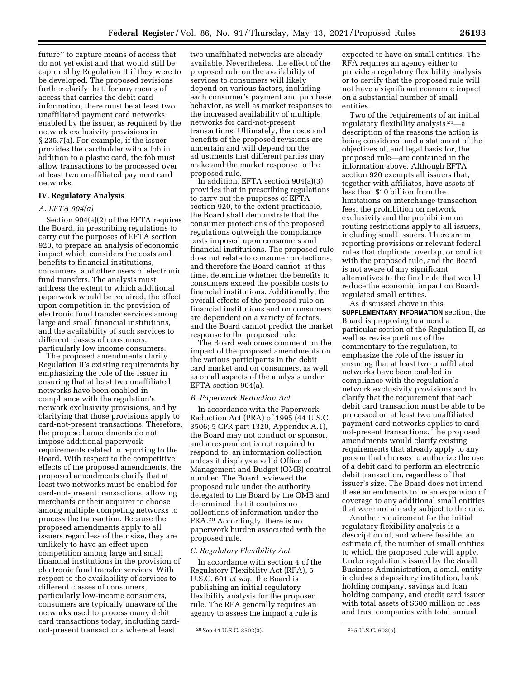future'' to capture means of access that do not yet exist and that would still be captured by Regulation II if they were to be developed. The proposed revisions further clarify that, for any means of access that carries the debit card information, there must be at least two unaffiliated payment card networks enabled by the issuer, as required by the network exclusivity provisions in § 235.7(a). For example, if the issuer provides the cardholder with a fob in addition to a plastic card, the fob must allow transactions to be processed over at least two unaffiliated payment card networks.

# **IV. Regulatory Analysis**

# *A. EFTA 904(a)*

Section 904(a)(2) of the EFTA requires the Board, in prescribing regulations to carry out the purposes of EFTA section 920, to prepare an analysis of economic impact which considers the costs and benefits to financial institutions, consumers, and other users of electronic fund transfers. The analysis must address the extent to which additional paperwork would be required, the effect upon competition in the provision of electronic fund transfer services among large and small financial institutions, and the availability of such services to different classes of consumers, particularly low income consumers.

The proposed amendments clarify Regulation II's existing requirements by emphasizing the role of the issuer in ensuring that at least two unaffiliated networks have been enabled in compliance with the regulation's network exclusivity provisions, and by clarifying that those provisions apply to card-not-present transactions. Therefore, the proposed amendments do not impose additional paperwork requirements related to reporting to the Board. With respect to the competitive effects of the proposed amendments, the proposed amendments clarify that at least two networks must be enabled for card-not-present transactions, allowing merchants or their acquirer to choose among multiple competing networks to process the transaction. Because the proposed amendments apply to all issuers regardless of their size, they are unlikely to have an effect upon competition among large and small financial institutions in the provision of electronic fund transfer services. With respect to the availability of services to different classes of consumers, particularly low-income consumers, consumers are typically unaware of the networks used to process many debit card transactions today, including cardnot-present transactions where at least

two unaffiliated networks are already available. Nevertheless, the effect of the proposed rule on the availability of services to consumers will likely depend on various factors, including each consumer's payment and purchase behavior, as well as market responses to the increased availability of multiple networks for card-not-present transactions. Ultimately, the costs and benefits of the proposed revisions are uncertain and will depend on the adjustments that different parties may make and the market response to the proposed rule.

In addition, EFTA section 904(a)(3) provides that in prescribing regulations to carry out the purposes of EFTA section 920, to the extent practicable, the Board shall demonstrate that the consumer protections of the proposed regulations outweigh the compliance costs imposed upon consumers and financial institutions. The proposed rule does not relate to consumer protections, and therefore the Board cannot, at this time, determine whether the benefits to consumers exceed the possible costs to financial institutions. Additionally, the overall effects of the proposed rule on financial institutions and on consumers are dependent on a variety of factors, and the Board cannot predict the market response to the proposed rule.

The Board welcomes comment on the impact of the proposed amendments on the various participants in the debit card market and on consumers, as well as on all aspects of the analysis under EFTA section 904(a).

#### *B. Paperwork Reduction Act*

In accordance with the Paperwork Reduction Act (PRA) of 1995 (44 U.S.C. 3506; 5 CFR part 1320, Appendix A.1), the Board may not conduct or sponsor, and a respondent is not required to respond to, an information collection unless it displays a valid Office of Management and Budget (OMB) control number. The Board reviewed the proposed rule under the authority delegated to the Board by the OMB and determined that it contains no collections of information under the PRA.20 Accordingly, there is no paperwork burden associated with the proposed rule.

#### *C. Regulatory Flexibility Act*

In accordance with section 4 of the Regulatory Flexibility Act (RFA), 5 U.S.C. 601 *et seq.,* the Board is publishing an initial regulatory flexibility analysis for the proposed rule. The RFA generally requires an agency to assess the impact a rule is

expected to have on small entities. The RFA requires an agency either to provide a regulatory flexibility analysis or to certify that the proposed rule will not have a significant economic impact on a substantial number of small entities.

Two of the requirements of an initial regulatory flexibility analysis 21—a description of the reasons the action is being considered and a statement of the objectives of, and legal basis for, the proposed rule—are contained in the information above. Although EFTA section 920 exempts all issuers that, together with affiliates, have assets of less than \$10 billion from the limitations on interchange transaction fees, the prohibition on network exclusivity and the prohibition on routing restrictions apply to all issuers, including small issuers. There are no reporting provisions or relevant federal rules that duplicate, overlap, or conflict with the proposed rule, and the Board is not aware of any significant alternatives to the final rule that would reduce the economic impact on Boardregulated small entities.

As discussed above in this **SUPPLEMENTARY INFORMATION** section, the Board is proposing to amend a particular section of the Regulation II, as well as revise portions of the commentary to the regulation, to emphasize the role of the issuer in ensuring that at least two unaffiliated networks have been enabled in compliance with the regulation's network exclusivity provisions and to clarify that the requirement that each debit card transaction must be able to be processed on at least two unaffiliated payment card networks applies to cardnot-present transactions. The proposed amendments would clarify existing requirements that already apply to any person that chooses to authorize the use of a debit card to perform an electronic debit transaction, regardless of that issuer's size. The Board does not intend these amendments to be an expansion of coverage to any additional small entities that were not already subject to the rule.

Another requirement for the initial regulatory flexibility analysis is a description of, and where feasible, an estimate of, the number of small entities to which the proposed rule will apply. Under regulations issued by the Small Business Administration, a small entity includes a depository institution, bank holding company, savings and loan holding company, and credit card issuer with total assets of \$600 million or less and trust companies with total annual

<sup>20</sup>See 44 U.S.C. 3502(3). 21 5 U.S.C. 603(b).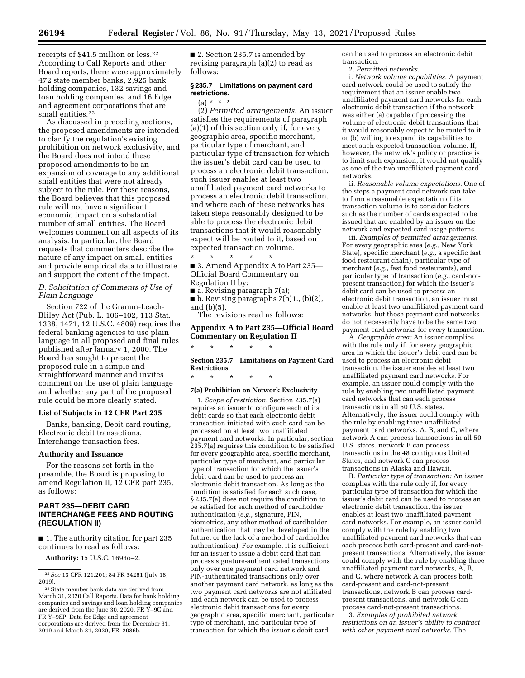receipts of \$41.5 million or less.22 According to Call Reports and other Board reports, there were approximately 472 state member banks, 2,925 bank holding companies, 132 savings and loan holding companies, and 16 Edge and agreement corporations that are small entities.23

As discussed in preceding sections, the proposed amendments are intended to clarify the regulation's existing prohibition on network exclusivity, and the Board does not intend these proposed amendments to be an expansion of coverage to any additional small entities that were not already subject to the rule. For these reasons, the Board believes that this proposed rule will not have a significant economic impact on a substantial number of small entities. The Board welcomes comment on all aspects of its analysis. In particular, the Board requests that commenters describe the nature of any impact on small entities and provide empirical data to illustrate and support the extent of the impact.

*D. Solicitation of Comments of Use of Plain Language* 

Section 722 of the Gramm-Leach-Bliley Act (Pub. L. 106–102, 113 Stat. 1338, 1471, 12 U.S.C. 4809) requires the federal banking agencies to use plain language in all proposed and final rules published after January 1, 2000. The Board has sought to present the proposed rule in a simple and straightforward manner and invites comment on the use of plain language and whether any part of the proposed rule could be more clearly stated.

#### **List of Subjects in 12 CFR Part 235**

Banks, banking, Debit card routing, Electronic debit transactions, Interchange transaction fees.

#### **Authority and Issuance**

For the reasons set forth in the preamble, the Board is proposing to amend Regulation II, 12 CFR part 235, as follows:

# **PART 235—DEBIT CARD INTERCHANGE FEES AND ROUTING (REGULATION II)**

■ 1. The authority citation for part 235 continues to read as follows:

**Authority:** 15 U.S.C. 1693o–2.

■ 2. Section 235.7 is amended by revising paragraph (a)(2) to read as follows:

#### **§ 235.7 Limitations on payment card restrictions.**

# $(a) * * * *$

(2) *Permitted arrangements.* An issuer satisfies the requirements of paragraph (a)(1) of this section only if, for every geographic area, specific merchant, particular type of merchant, and particular type of transaction for which the issuer's debit card can be used to process an electronic debit transaction, such issuer enables at least two unaffiliated payment card networks to process an electronic debit transaction, and where each of these networks has taken steps reasonably designed to be able to process the electronic debit transactions that it would reasonably expect will be routed to it, based on expected transaction volume. \* \* \* \* \*

■ 3. Amend Appendix A to Part 235— Official Board Commentary on

Regulation II by:  $\blacksquare$  a. Revising paragraph 7(a); ■ b. Revising paragraphs 7(b)1., (b)(2),

and (b)(5). The revisions read as follows:

# **Appendix A to Part 235—Official Board Commentary on Regulation II**

**Section 235.7 Limitations on Payment Card Restrictions** 

\* \* \* \* \*

\* \* \* \* \*

#### **7(a) Prohibition on Network Exclusivity**

1. *Scope of restriction.* Section 235.7(a) requires an issuer to configure each of its debit cards so that each electronic debit transaction initiated with such card can be processed on at least two unaffiliated payment card networks. In particular, section 235.7(a) requires this condition to be satisfied for every geographic area, specific merchant, particular type of merchant, and particular type of transaction for which the issuer's debit card can be used to process an electronic debit transaction. As long as the condition is satisfied for each such case, § 235.7(a) does not require the condition to be satisfied for each method of cardholder authentication (*e.g.,* signature, PIN, biometrics, any other method of cardholder authentication that may be developed in the future, or the lack of a method of cardholder authentication). For example, it is sufficient for an issuer to issue a debit card that can process signature-authenticated transactions only over one payment card network and PIN-authenticated transactions only over another payment card network, as long as the two payment card networks are not affiliated and each network can be used to process electronic debit transactions for every geographic area, specific merchant, particular type of merchant, and particular type of transaction for which the issuer's debit card

can be used to process an electronic debit transaction.

2. *Permitted networks.* 

i. *Network volume capabilities.* A payment card network could be used to satisfy the requirement that an issuer enable two unaffiliated payment card networks for each electronic debit transaction if the network was either (a) capable of processing the volume of electronic debit transactions that it would reasonably expect to be routed to it or (b) willing to expand its capabilities to meet such expected transaction volume. If, however, the network's policy or practice is to limit such expansion, it would not qualify as one of the two unaffiliated payment card networks.

ii. *Reasonable volume expectations.* One of the steps a payment card network can take to form a reasonable expectation of its transaction volume is to consider factors such as the number of cards expected to be issued that are enabled by an issuer on the network and expected card usage patterns.

iii. *Examples of permitted arrangements.*  For every geographic area (*e.g.,* New York State), specific merchant (*e.g.,* a specific fast food restaurant chain), particular type of merchant (*e.g.,* fast food restaurants), and particular type of transaction (*e.g.,* card-notpresent transaction) for which the issuer's debit card can be used to process an electronic debit transaction, an issuer must enable at least two unaffiliated payment card networks, but those payment card networks do not necessarily have to be the same two payment card networks for every transaction.

A. *Geographic area:* An issuer complies with the rule only if, for every geographic area in which the issuer's debit card can be used to process an electronic debit transaction, the issuer enables at least two unaffiliated payment card networks. For example, an issuer could comply with the rule by enabling two unaffiliated payment card networks that can each process transactions in all 50 U.S. states. Alternatively, the issuer could comply with the rule by enabling three unaffiliated payment card networks, A, B, and C, where network A can process transactions in all 50 U.S. states, network B can process transactions in the 48 contiguous United States, and network C can process transactions in Alaska and Hawaii.

B. *Particular type of transaction:* An issuer complies with the rule only if, for every particular type of transaction for which the issuer's debit card can be used to process an electronic debit transaction, the issuer enables at least two unaffiliated payment card networks. For example, an issuer could comply with the rule by enabling two unaffiliated payment card networks that can each process both card-present and card-notpresent transactions. Alternatively, the issuer could comply with the rule by enabling three unaffiliated payment card networks, A, B, and C, where network A can process both card-present and card-not-present transactions, network B can process cardpresent transactions, and network C can process card-not-present transactions.

3. *Examples of prohibited network restrictions on an issuer's ability to contract with other payment card networks.* The

<sup>22</sup>*See* 13 CFR 121.201; 84 FR 34261 (July 18, 2019).

<sup>23</sup>State member bank data are derived from March 31, 2020 Call Reports. Data for bank holding companies and savings and loan holding companies are derived from the June 30, 2020, FR Y–9C and FR Y–9SP. Data for Edge and agreement corporations are derived from the December 31, 2019 and March 31, 2020, FR–2086b.